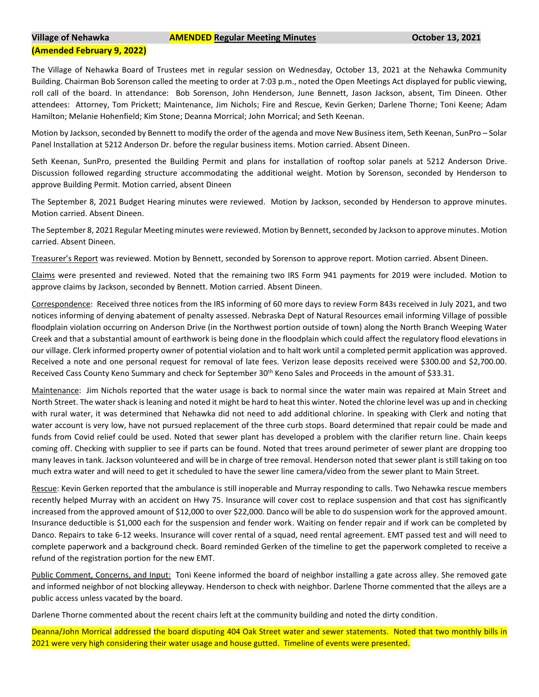## **Village of Nehawka AMENDED Regular Meeting Minutes October 13, 2021**

## **(Amended February 9, 2022)**

The Village of Nehawka Board of Trustees met in regular session on Wednesday, October 13, 2021 at the Nehawka Community Building. Chairman Bob Sorenson called the meeting to order at 7:03 p.m., noted the Open Meetings Act displayed for public viewing, roll call of the board. In attendance: Bob Sorenson, John Henderson, June Bennett, Jason Jackson, absent, Tim Dineen. Other attendees: Attorney, Tom Prickett; Maintenance, Jim Nichols; Fire and Rescue, Kevin Gerken; Darlene Thorne; Toni Keene; Adam Hamilton; Melanie Hohenfield; Kim Stone; Deanna Morrical; John Morrical; and Seth Keenan.

Motion by Jackson, seconded by Bennett to modify the order of the agenda and move New Business item, Seth Keenan, SunPro – Solar Panel Installation at 5212 Anderson Dr. before the regular business items. Motion carried. Absent Dineen.

Seth Keenan, SunPro, presented the Building Permit and plans for installation of rooftop solar panels at 5212 Anderson Drive. Discussion followed regarding structure accommodating the additional weight. Motion by Sorenson, seconded by Henderson to approve Building Permit. Motion carried, absent Dineen

The September 8, 2021 Budget Hearing minutes were reviewed. Motion by Jackson, seconded by Henderson to approve minutes. Motion carried. Absent Dineen.

The September 8, 2021 Regular Meeting minutes were reviewed. Motion by Bennett, seconded by Jackson to approve minutes. Motion carried. Absent Dineen.

Treasurer's Report was reviewed. Motion by Bennett, seconded by Sorenson to approve report. Motion carried. Absent Dineen.

Claims were presented and reviewed. Noted that the remaining two IRS Form 941 payments for 2019 were included. Motion to approve claims by Jackson, seconded by Bennett. Motion carried. Absent Dineen.

Correspondence: Received three notices from the IRS informing of 60 more days to review Form 843s received in July 2021, and two notices informing of denying abatement of penalty assessed. Nebraska Dept of Natural Resources email informing Village of possible floodplain violation occurring on Anderson Drive (in the Northwest portion outside of town) along the North Branch Weeping Water Creek and that a substantial amount of earthwork is being done in the floodplain which could affect the regulatory flood elevations in our village. Clerk informed property owner of potential violation and to halt work until a completed permit application was approved. Received a note and one personal request for removal of late fees. Verizon lease deposits received were \$300.00 and \$2,700.00. Received Cass County Keno Summary and check for September 30<sup>th</sup> Keno Sales and Proceeds in the amount of \$33.31.

Maintenance: Jim Nichols reported that the water usage is back to normal since the water main was repaired at Main Street and North Street. The water shack is leaning and noted it might be hard to heat this winter. Noted the chlorine level was up and in checking with rural water, it was determined that Nehawka did not need to add additional chlorine. In speaking with Clerk and noting that water account is very low, have not pursued replacement of the three curb stops. Board determined that repair could be made and funds from Covid relief could be used. Noted that sewer plant has developed a problem with the clarifier return line. Chain keeps coming off. Checking with supplier to see if parts can be found. Noted that trees around perimeter of sewer plant are dropping too many leaves in tank. Jackson volunteered and will be in charge of tree removal. Henderson noted that sewer plant is still taking on too much extra water and will need to get it scheduled to have the sewer line camera/video from the sewer plant to Main Street.

Rescue: Kevin Gerken reported that the ambulance is still inoperable and Murray responding to calls. Two Nehawka rescue members recently helped Murray with an accident on Hwy 75. Insurance will cover cost to replace suspension and that cost has significantly increased from the approved amount of \$12,000 to over \$22,000. Danco will be able to do suspension work for the approved amount. Insurance deductible is \$1,000 each for the suspension and fender work. Waiting on fender repair and if work can be completed by Danco. Repairs to take 6-12 weeks. Insurance will cover rental of a squad, need rental agreement. EMT passed test and will need to complete paperwork and a background check. Board reminded Gerken of the timeline to get the paperwork completed to receive a refund of the registration portion for the new EMT.

Public Comment, Concerns, and Input: Toni Keene informed the board of neighbor installing a gate across alley. She removed gate and informed neighbor of not blocking alleyway. Henderson to check with neighbor. Darlene Thorne commented that the alleys are a public access unless vacated by the board.

Darlene Thorne commented about the recent chairs left at the community building and noted the dirty condition.

Deanna/John Morrical addressed the board disputing 404 Oak Street water and sewer statements. Noted that two monthly bills in 2021 were very high considering their water usage and house gutted. Timeline of events were presented.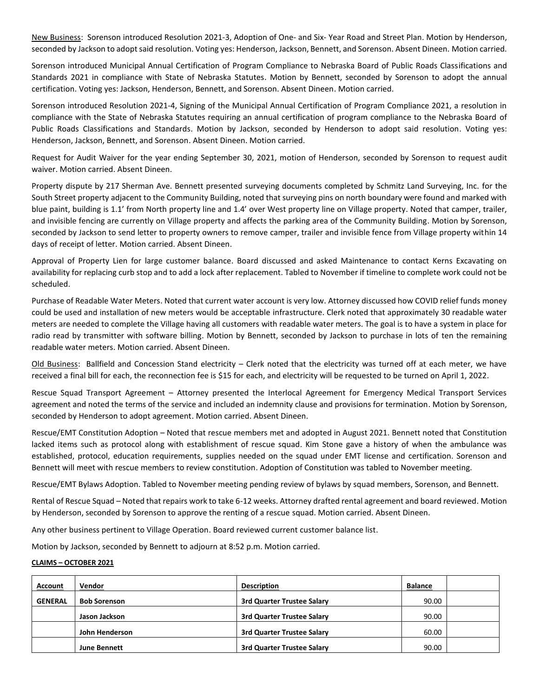New Business: Sorenson introduced Resolution 2021-3, Adoption of One- and Six- Year Road and Street Plan. Motion by Henderson, seconded by Jackson to adopt said resolution. Voting yes: Henderson, Jackson, Bennett, and Sorenson. Absent Dineen. Motion carried.

Sorenson introduced Municipal Annual Certification of Program Compliance to Nebraska Board of Public Roads Classifications and Standards 2021 in compliance with State of Nebraska Statutes. Motion by Bennett, seconded by Sorenson to adopt the annual certification. Voting yes: Jackson, Henderson, Bennett, and Sorenson. Absent Dineen. Motion carried.

Sorenson introduced Resolution 2021-4, Signing of the Municipal Annual Certification of Program Compliance 2021, a resolution in compliance with the State of Nebraska Statutes requiring an annual certification of program compliance to the Nebraska Board of Public Roads Classifications and Standards. Motion by Jackson, seconded by Henderson to adopt said resolution. Voting yes: Henderson, Jackson, Bennett, and Sorenson. Absent Dineen. Motion carried.

Request for Audit Waiver for the year ending September 30, 2021, motion of Henderson, seconded by Sorenson to request audit waiver. Motion carried. Absent Dineen.

Property dispute by 217 Sherman Ave. Bennett presented surveying documents completed by Schmitz Land Surveying, Inc. for the South Street property adjacent to the Community Building, noted that surveying pins on north boundary were found and marked with blue paint, building is 1.1' from North property line and 1.4' over West property line on Village property. Noted that camper, trailer, and invisible fencing are currently on Village property and affects the parking area of the Community Building. Motion by Sorenson, seconded by Jackson to send letter to property owners to remove camper, trailer and invisible fence from Village property within 14 days of receipt of letter. Motion carried. Absent Dineen.

Approval of Property Lien for large customer balance. Board discussed and asked Maintenance to contact Kerns Excavating on availability for replacing curb stop and to add a lock after replacement. Tabled to November if timeline to complete work could not be scheduled.

Purchase of Readable Water Meters. Noted that current water account is very low. Attorney discussed how COVID relief funds money could be used and installation of new meters would be acceptable infrastructure. Clerk noted that approximately 30 readable water meters are needed to complete the Village having all customers with readable water meters. The goal is to have a system in place for radio read by transmitter with software billing. Motion by Bennett, seconded by Jackson to purchase in lots of ten the remaining readable water meters. Motion carried. Absent Dineen.

Old Business: Ballfield and Concession Stand electricity – Clerk noted that the electricity was turned off at each meter, we have received a final bill for each, the reconnection fee is \$15 for each, and electricity will be requested to be turned on April 1, 2022.

Rescue Squad Transport Agreement – Attorney presented the Interlocal Agreement for Emergency Medical Transport Services agreement and noted the terms of the service and included an indemnity clause and provisions for termination. Motion by Sorenson, seconded by Henderson to adopt agreement. Motion carried. Absent Dineen.

Rescue/EMT Constitution Adoption – Noted that rescue members met and adopted in August 2021. Bennett noted that Constitution lacked items such as protocol along with establishment of rescue squad. Kim Stone gave a history of when the ambulance was established, protocol, education requirements, supplies needed on the squad under EMT license and certification. Sorenson and Bennett will meet with rescue members to review constitution. Adoption of Constitution was tabled to November meeting.

Rescue/EMT Bylaws Adoption. Tabled to November meeting pending review of bylaws by squad members, Sorenson, and Bennett.

Rental of Rescue Squad – Noted that repairs work to take 6-12 weeks. Attorney drafted rental agreement and board reviewed. Motion by Henderson, seconded by Sorenson to approve the renting of a rescue squad. Motion carried. Absent Dineen.

Any other business pertinent to Village Operation. Board reviewed current customer balance list.

Motion by Jackson, seconded by Bennett to adjourn at 8:52 p.m. Motion carried.

## **CLAIMS – OCTOBER 2021**

| <b>Account</b> | Vendor              | <b>Description</b>                | <b>Balance</b> |  |
|----------------|---------------------|-----------------------------------|----------------|--|
| <b>GENERAL</b> | <b>Bob Sorenson</b> | <b>3rd Quarter Trustee Salary</b> | 90.00          |  |
|                | Jason Jackson       | <b>3rd Quarter Trustee Salary</b> | 90.00          |  |
|                | John Henderson      | 3rd Quarter Trustee Salary        | 60.00          |  |
|                | <b>June Bennett</b> | <b>3rd Quarter Trustee Salary</b> | 90.00          |  |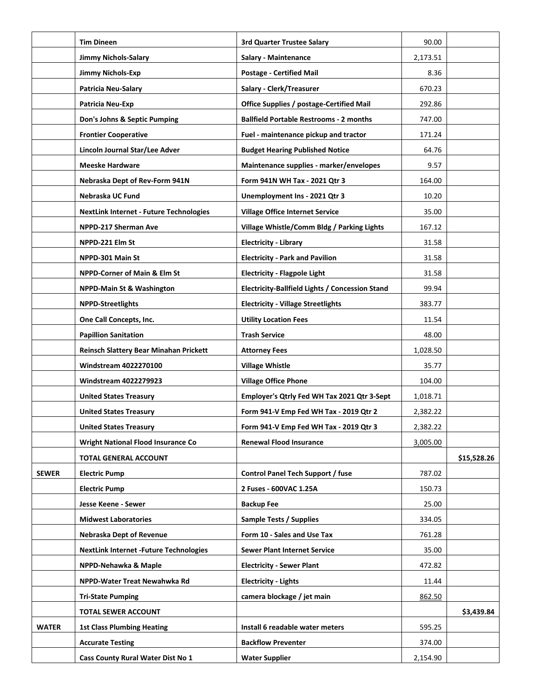|              | <b>Tim Dineen</b>                              | 3rd Quarter Trustee Salary                             | 90.00    |             |
|--------------|------------------------------------------------|--------------------------------------------------------|----------|-------------|
|              | <b>Jimmy Nichols-Salary</b>                    | <b>Salary - Maintenance</b>                            | 2,173.51 |             |
|              | Jimmy Nichols-Exp                              | <b>Postage - Certified Mail</b>                        | 8.36     |             |
|              | <b>Patricia Neu-Salary</b>                     | Salary - Clerk/Treasurer                               | 670.23   |             |
|              | Patricia Neu-Exp                               | <b>Office Supplies / postage-Certified Mail</b>        | 292.86   |             |
|              | Don's Johns & Septic Pumping                   | <b>Ballfield Portable Restrooms - 2 months</b>         | 747.00   |             |
|              | <b>Frontier Cooperative</b>                    | Fuel - maintenance pickup and tractor                  | 171.24   |             |
|              | Lincoln Journal Star/Lee Adver                 | <b>Budget Hearing Published Notice</b>                 | 64.76    |             |
|              | <b>Meeske Hardware</b>                         | Maintenance supplies - marker/envelopes                | 9.57     |             |
|              | Nebraska Dept of Rev-Form 941N                 | Form 941N WH Tax - 2021 Qtr 3                          | 164.00   |             |
|              | Nebraska UC Fund                               | Unemployment Ins - 2021 Qtr 3                          | 10.20    |             |
|              | <b>NextLink Internet - Future Technologies</b> | <b>Village Office Internet Service</b>                 | 35.00    |             |
|              | NPPD-217 Sherman Ave                           | Village Whistle/Comm Bldg / Parking Lights             | 167.12   |             |
|              | NPPD-221 Elm St                                | <b>Electricity - Library</b>                           | 31.58    |             |
|              | NPPD-301 Main St                               | <b>Electricity - Park and Pavilion</b>                 | 31.58    |             |
|              | <b>NPPD-Corner of Main &amp; Elm St</b>        | <b>Electricity - Flagpole Light</b>                    | 31.58    |             |
|              | <b>NPPD-Main St &amp; Washington</b>           | <b>Electricity-Ballfield Lights / Concession Stand</b> | 99.94    |             |
|              | <b>NPPD-Streetlights</b>                       | <b>Electricity - Village Streetlights</b>              | 383.77   |             |
|              | One Call Concepts, Inc.                        | <b>Utility Location Fees</b>                           | 11.54    |             |
|              | <b>Papillion Sanitation</b>                    | Trash Service                                          | 48.00    |             |
|              | Reinsch Slattery Bear Minahan Prickett         | <b>Attorney Fees</b>                                   | 1,028.50 |             |
|              | <b>Windstream 4022270100</b>                   | <b>Village Whistle</b>                                 | 35.77    |             |
|              | <b>Windstream 4022279923</b>                   | <b>Village Office Phone</b>                            | 104.00   |             |
|              | <b>United States Treasury</b>                  | Employer's Qtrly Fed WH Tax 2021 Qtr 3-Sept            | 1,018.71 |             |
|              | <b>United States Treasury</b>                  | Form 941-V Emp Fed WH Tax - 2019 Qtr 2                 | 2,382.22 |             |
|              | <b>United States Treasury</b>                  | Form 941-V Emp Fed WH Tax - 2019 Qtr 3                 | 2,382.22 |             |
|              | <b>Wright National Flood Insurance Co</b>      | <b>Renewal Flood Insurance</b>                         | 3,005.00 |             |
|              | <b>TOTAL GENERAL ACCOUNT</b>                   |                                                        |          | \$15,528.26 |
| <b>SEWER</b> | <b>Electric Pump</b>                           | Control Panel Tech Support / fuse                      | 787.02   |             |
|              | <b>Electric Pump</b>                           | 2 Fuses - 600VAC 1.25A                                 | 150.73   |             |
|              | Jesse Keene - Sewer                            | <b>Backup Fee</b>                                      | 25.00    |             |
|              | <b>Midwest Laboratories</b>                    | Sample Tests / Supplies                                | 334.05   |             |
|              | <b>Nebraska Dept of Revenue</b>                | Form 10 - Sales and Use Tax                            | 761.28   |             |
|              | <b>NextLink Internet -Future Technologies</b>  | <b>Sewer Plant Internet Service</b>                    | 35.00    |             |
|              | NPPD-Nehawka & Maple                           | <b>Electricity - Sewer Plant</b>                       | 472.82   |             |
|              | NPPD-Water Treat Newahwka Rd                   | <b>Electricity - Lights</b>                            | 11.44    |             |
|              | <b>Tri-State Pumping</b>                       | camera blockage / jet main                             | 862.50   |             |
|              | <b>TOTAL SEWER ACCOUNT</b>                     |                                                        |          | \$3,439.84  |
| <b>WATER</b> | <b>1st Class Plumbing Heating</b>              | Install 6 readable water meters                        | 595.25   |             |
|              | <b>Accurate Testing</b>                        | <b>Backflow Preventer</b>                              | 374.00   |             |
|              | Cass County Rural Water Dist No 1              | <b>Water Supplier</b>                                  | 2,154.90 |             |